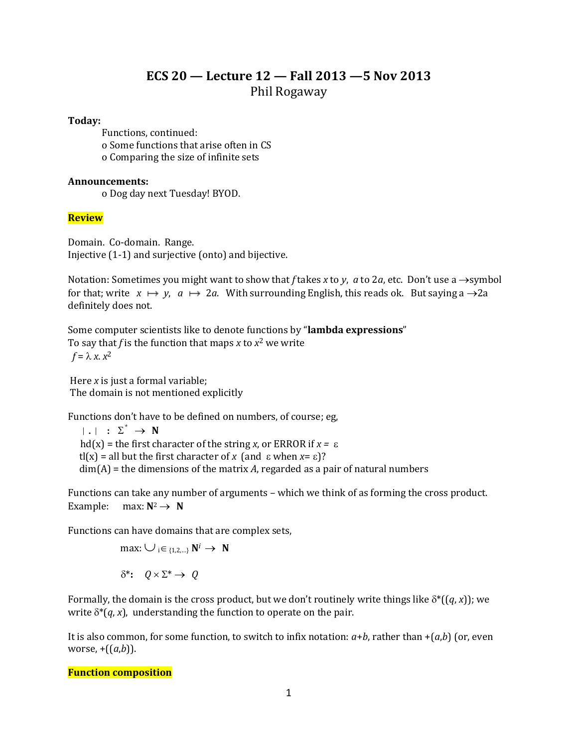# **ECS 20 — Lecture 12 — Fall 2013 —5 Nov 2013** Phil Rogaway

#### **Today:**

Functions, continued: o Some functions that arise often in CS o Comparing the size of infinite sets

#### **Announcements:**

o Dog day next Tuesday! BYOD.

# **Review**

Domain. Co-domain. Range. Injective (1-1) and surjective (onto) and bijective.

Notation: Sometimes you might want to show that *f* takes *x* to *y*, *a* to 2*a*, etc. Don't use a  $\rightarrow$ symbol for that; write  $x \mapsto y$ ,  $a \mapsto 2a$ . With surrounding English, this reads ok. But saying a  $\rightarrow 2a$ definitely does not.

Some computer scientists like to denote functions by "**lambda expressions**" To say that *f* is the function that maps *x* to  $x^2$  we write  $f = \lambda x \cdot x^2$ 

Here *x* is just a formal variable; The domain is not mentioned explicitly

Functions don't have to be defined on numbers, of course; eg,

 $|\cdot|$  :  $\Sigma^* \rightarrow N$ hd(x) = the first character of the string *x*, or ERROR if  $x = \varepsilon$ tl(x) = all but the first character of *x* (and  $\epsilon$  when *x*= $\epsilon$ )? dim(A) = the dimensions of the matrix *A*, regarded as a pair of natural numbers

Functions can take any number of arguments – which we think of as forming the cross product. Example: max:  $N^2 \rightarrow N$ 

Functions can have domains that are complex sets,

$$
\max: \bigcup_{i \in \{1, 2, \ldots\}} \mathbf{N}^i \to \mathbf{N}
$$

$$
\delta^* \colon Q \times \Sigma^* \to Q
$$

Formally, the domain is the cross product, but we don't routinely write things like  $\delta^*((q, x))$ ; we write  $\delta^*(q, x)$ , understanding the function to operate on the pair.

It is also common, for some function, to switch to infix notation:  $a+b$ , rather than  $+(a,b)$  (or, even worse,  $+(a,b)$ ).

### **Function composition**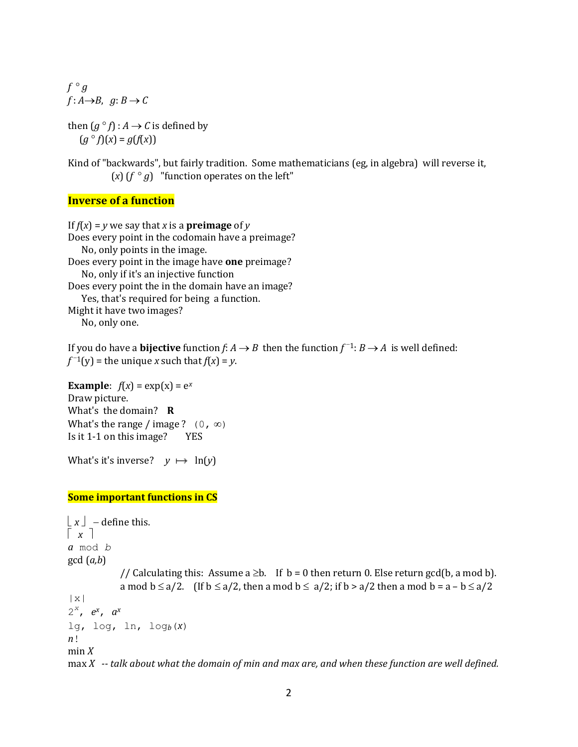$f \circ g$  $f: A \rightarrow B$ ,  $g: B \rightarrow C$ 

then  $(g \circ f) : A \to C$  is defined by  $(g^{\circ} f)(x) = g(f(x))$ 

Kind of "backwards", but fairly tradition. Some mathematicians (eg, in algebra) will reverse it, (*x*) ( $f \circ g$ ) "function operates on the left"

# **Inverse of a function**

If  $f(x) = y$  we say that *x* is a **preimage** of *y* Does every point in the codomain have a preimage? No, only points in the image. Does every point in the image have **one** preimage? No, only if it's an injective function Does every point the in the domain have an image? Yes, that's required for being a function. Might it have two images? No, only one.

If you do have a **bijective** function  $f: A \to B$  then the function  $f^{-1}: B \to A$  is well defined:  $f^{-1}(y)$  = the unique *x* such that  $f(x) = y$ .

```
Example: f(x) = exp(x) = e^xDraw picture.
What's the domain? R
What's the range / image ? (0, \infty)Is it 1-1 on this image? YES
```

```
What's it's inverse? y \mapsto \ln(y)
```
### **Some important functions in CS**

```
\lfloor x \rfloor - define this.
\lceil x \rceila mod b
gcd (a,b) 
            // Calculating this: Assume a \geq b. If b = 0 then return 0. Else return gcd(b, a mod b).
            a mod b \le a/2. (If b \le a/2, then a mod b \le a/2; if b > a/2 then a mod b = a - b \le a/2|x|2
x
, e
x, a
x
lg, log, ln, logb(x)
n!
min Xmax X -- talk about what the domain of min and max are, and when these function are well defined.
```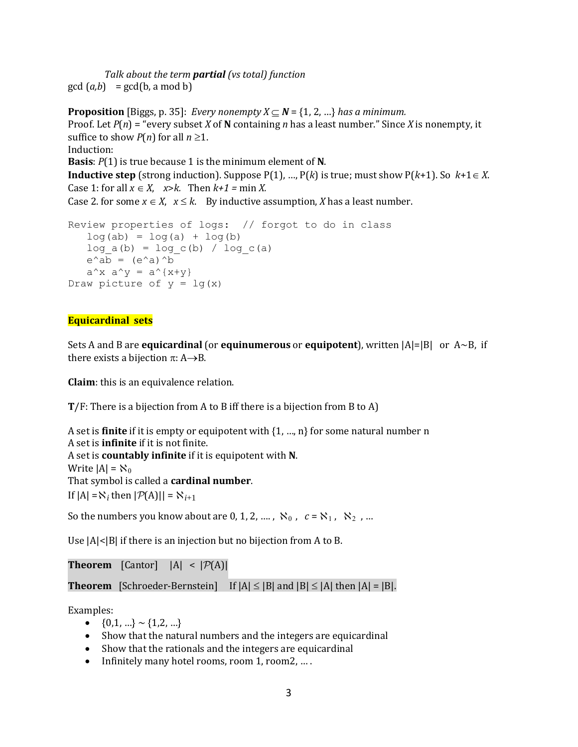*Talk about the term partial (vs total) function*  $gcd(a,b) = gcd(b, a \mod b)$ 

**Proposition** [Biggs, p. 35]: *Every nonempty X*  $\subset$  **N** = {1, 2, ...} *has a minimum.* Proof. Let *P*(*n*) = "every subset *X* of **N** containing *n* has a least number." Since *X* is nonempty, it suffice to show  $P(n)$  for all  $n \geq 1$ . Induction: **Basis**: *P*(1) is true because 1 is the minimum element of **N**. **Inductive step** (strong induction). Suppose  $P(1)$ , ...,  $P(k)$  is true; must show  $P(k+1)$ . So  $k+1 \in X$ . Case 1: for all  $x \in X$ ,  $x > k$ . Then  $k+1 = \min X$ . Case 2. for some  $x \in X$ ,  $x \le k$ . By inductive assumption, *X* has a least number.

```
Review properties of logs: // forgot to do in class
   log(ab) = log(a) + log(b)log a(b) = log c(b) / log c(a)e^{\wedge}ab = (e^{\wedge}a)^{\wedge}ba^x x a^y = a^{\prime}(x+y)Draw picture of y = \lg(x)
```
### **Equicardinal sets**

Sets A and B are **equicardinal** (or **equinumerous** or **equipotent**), written |A|=|B| or A~B, if there exists a bijection  $\pi$ : A $\rightarrow$ B.

**Claim**: this is an equivalence relation.

**T**/F: There is a bijection from A to B iff there is a bijection from B to A)

```
A set is finite if it is empty or equipotent with {1, …, n} for some natural number n
A set is infinite if it is not finite.
A set is countably infinite if it is equipotent with N.
Write |A| = \aleph_0That symbol is called a cardinal number.
If |A| = \aleph_i then |\mathcal{P}(A)| = \aleph_{i+1}
```
So the numbers you know about are  $0, 1, 2, ...$ ,  $\aleph_0$ ,  $c = \aleph_1$ ,  $\aleph_2$ , ...

Use  $|A|$  |  $|B|$  if there is an injection but no bijection from A to B.

**Theorem** [Cantor]  $|A| < |\mathcal{P}(A)|$ 

**Theorem** [Schroeder-Bernstein] If  $|A| \leq |B|$  and  $|B| \leq |A|$  then  $|A| = |B|$ .

Examples:

- $\bullet$  {0,1, ...} ~ {1,2, ...}
- Show that the natural numbers and the integers are equicardinal
- Show that the rationals and the integers are equicardinal
- Infinitely many hotel rooms, room 1, room2, ...